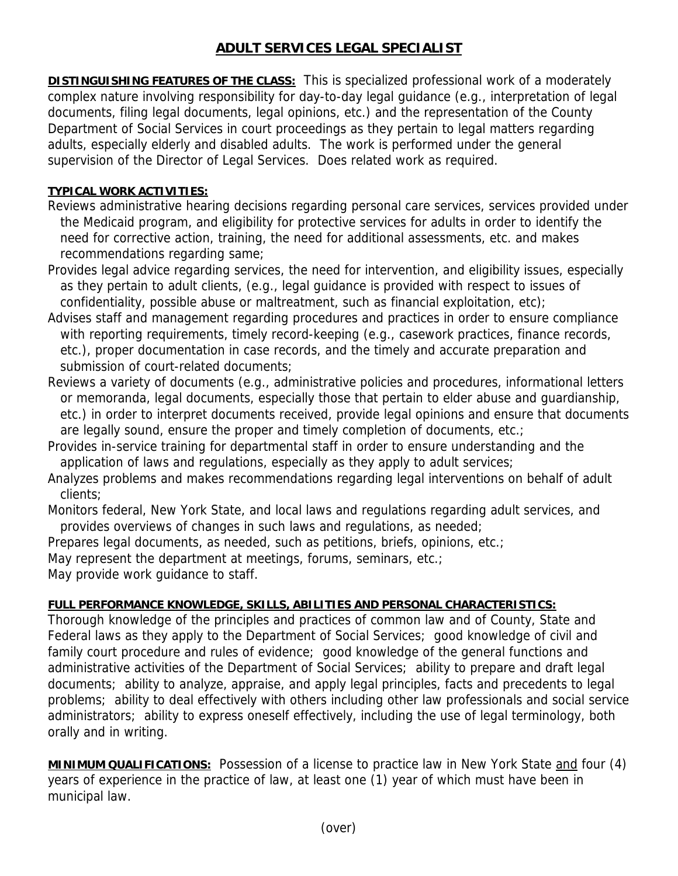## **ADULT SERVICES LEGAL SPECIALIST**

**DISTINGUISHING FEATURES OF THE CLASS:** This is specialized professional work of a moderately complex nature involving responsibility for day-to-day legal guidance (e.g., interpretation of legal documents, filing legal documents, legal opinions, etc.) and the representation of the County Department of Social Services in court proceedings as they pertain to legal matters regarding adults, especially elderly and disabled adults. The work is performed under the general supervision of the Director of Legal Services. Does related work as required.

## **TYPICAL WORK ACTIVITIES:**

- Reviews administrative hearing decisions regarding personal care services, services provided under the Medicaid program, and eligibility for protective services for adults in order to identify the need for corrective action, training, the need for additional assessments, etc. and makes recommendations regarding same;
- Provides legal advice regarding services, the need for intervention, and eligibility issues, especially as they pertain to adult clients, (e.g., legal guidance is provided with respect to issues of confidentiality, possible abuse or maltreatment, such as financial exploitation, etc);
- Advises staff and management regarding procedures and practices in order to ensure compliance with reporting requirements, timely record-keeping (e.g., casework practices, finance records, etc.), proper documentation in case records, and the timely and accurate preparation and submission of court-related documents;
- Reviews a variety of documents (e.g., administrative policies and procedures, informational letters or memoranda, legal documents, especially those that pertain to elder abuse and guardianship, etc.) in order to interpret documents received, provide legal opinions and ensure that documents are legally sound, ensure the proper and timely completion of documents, etc.;
- Provides in-service training for departmental staff in order to ensure understanding and the application of laws and regulations, especially as they apply to adult services;
- Analyzes problems and makes recommendations regarding legal interventions on behalf of adult clients;
- Monitors federal, New York State, and local laws and regulations regarding adult services, and provides overviews of changes in such laws and regulations, as needed;

Prepares legal documents, as needed, such as petitions, briefs, opinions, etc.;

May represent the department at meetings, forums, seminars, etc.;

May provide work guidance to staff.

## **FULL PERFORMANCE KNOWLEDGE, SKILLS, ABILITIES AND PERSONAL CHARACTERISTICS:**

Thorough knowledge of the principles and practices of common law and of County, State and Federal laws as they apply to the Department of Social Services; good knowledge of civil and family court procedure and rules of evidence; good knowledge of the general functions and administrative activities of the Department of Social Services; ability to prepare and draft legal documents; ability to analyze, appraise, and apply legal principles, facts and precedents to legal problems; ability to deal effectively with others including other law professionals and social service administrators; ability to express oneself effectively, including the use of legal terminology, both orally and in writing.

**MINIMUM QUALIFICATIONS:** Possession of a license to practice law in New York State and four (4) years of experience in the practice of law, at least one (1) year of which must have been in municipal law.